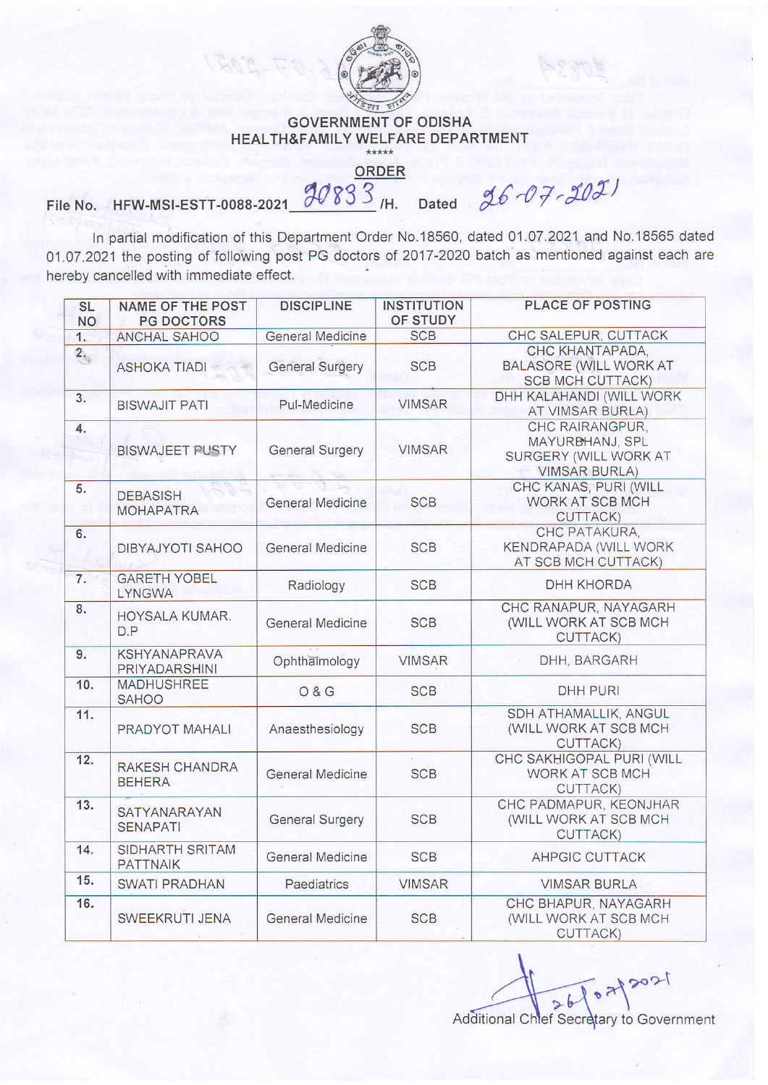

## GOVERNMENT OF ODISHA HEALTH&FAMILY WELFARE DEPARTMENT

ORDER

## File No. HFW-MSI-ESTT-0088-2021  $\frac{90833}{1}$ /H. Dated  $26-07-202$

ln partial modification of this Department Order No.18560, dated 01.07.2021 and No.1 8565 dated 01.O7.2021 the posting of following post PG doctors of 2017 -2020 batch as mentioned against each are herebv cancelled with immediate effect.

| <b>SL</b><br><b>NO</b> | <b>NAME OF THE POST</b><br><b>PG DOCTORS</b> | <b>DISCIPLINE</b>       | <b>INSTITUTION</b><br>OF STUDY | PLACE OF POSTING                                                                    |
|------------------------|----------------------------------------------|-------------------------|--------------------------------|-------------------------------------------------------------------------------------|
| 1.                     | ANCHAL SAHOO                                 | <b>General Medicine</b> | <b>SCB</b>                     | CHC SALEPUR, CUTTACK                                                                |
| $2 -$                  | <b>ASHOKA TIADI</b>                          | <b>General Surgery</b>  | <b>SCB</b>                     | CHC KHANTAPADA.<br><b>BALASORE (WILL WORK AT</b><br><b>SCB MCH CUTTACK)</b>         |
| 3.                     | <b>BISWAJIT PATI</b>                         | Pul-Medicine            | <b>VIMSAR</b>                  | DHH KALAHANDI (WILL WORK<br>AT VIMSAR BURLA)                                        |
| 4.<br>us.              | <b>BISWAJEET PUSTY</b>                       | <b>General Surgery</b>  | <b>VIMSAR</b>                  | CHC RAIRANGPUR,<br>MAYURBHANJ, SPL<br>SURGERY (WILL WORK AT<br><b>VIMSAR BURLA)</b> |
| 5.                     | <b>DEBASISH</b><br><b>MOHAPATRA</b>          | <b>General Medicine</b> | <b>SCB</b>                     | CHC KANAS, PURI (WILL<br>WORK AT SCB MCH<br>CUTTACK)                                |
| 6.                     | DIBYAJYOTI SAHOO                             | <b>General Medicine</b> | <b>SCB</b>                     | CHC PATAKURA.<br>KENDRAPADA (WILL WORK<br>AT SCB MCH CUTTACK)                       |
| $\overline{7}$ .       | <b>GARETH YOBEL</b><br><b>LYNGWA</b>         | Radiology               | <b>SCB</b>                     | DHH KHORDA                                                                          |
| 8.                     | HOYSALA KUMAR.<br>D.P                        | <b>General Medicine</b> | <b>SCB</b>                     | CHC RANAPUR, NAYAGARH<br>(WILL WORK AT SCB MCH<br>CUTTACK)                          |
| 9.                     | <b>KSHYANAPRAVA</b><br>PRIYADARSHINI         | Ophthaimology           | <b>VIMSAR</b>                  | DHH, BARGARH                                                                        |
| 10.                    | <b>MADHUSHREE</b><br><b>SAHOO</b>            | <b>0&amp;G</b>          | <b>SCB</b>                     | <b>DHH PURI</b>                                                                     |
| 11.                    | PRADYOT MAHALI                               | Anaesthesiology         | <b>SCB</b>                     | SDH ATHAMALLIK, ANGUL<br>(WILL WORK AT SCB MCH<br>CUTTACK)                          |
| 12.                    | RAKESH CHANDRA<br><b>BEHERA</b>              | <b>General Medicine</b> | <b>SCB</b>                     | CHC SAKHIGOPAL PURI (WILL<br>WORK AT SCB MCH<br>CUTTACK)                            |
| 13.                    | SATYANARAYAN<br><b>SENAPATI</b>              | <b>General Surgery</b>  | <b>SCB</b>                     | CHC PADMAPUR, KEONJHAR<br>(WILL WORK AT SCB MCH<br>CUTTACK)                         |
| 14.                    | SIDHARTH SRITAM<br><b>PATTNAIK</b>           | <b>General Medicine</b> | <b>SCB</b>                     | AHPGIC CUTTACK                                                                      |
| 15.                    | SWATI PRADHAN                                | Paediatrics             | <b>VIMSAR</b>                  | <b>VIMSAR BURLA</b>                                                                 |
| 16.                    | SWEEKRUTI JENA                               | <b>General Medicine</b> | <b>SCB</b>                     | CHC BHAPUR, NAYAGARH<br>(WILL WORK AT SCB MCH<br><b>CUTTACK)</b>                    |

 $26.672021$ Additional Chlef Secretary to Government